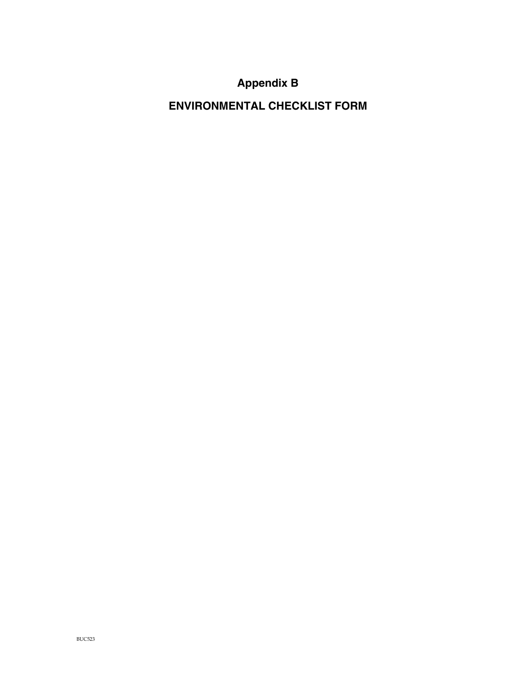# **Appendix B**

**ENVIRONMENTAL CHECKLIST FORM**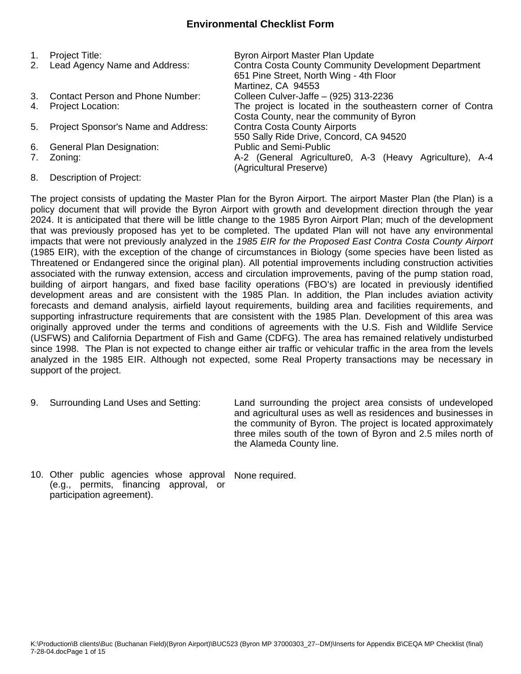# **Environmental Checklist Form**

| $1_{\cdot}$ | Project Title:                          | Byron Airport Master Plan Update                                                   |
|-------------|-----------------------------------------|------------------------------------------------------------------------------------|
| 2.          | Lead Agency Name and Address:           | <b>Contra Costa County Community Development Department</b>                        |
|             |                                         | 651 Pine Street, North Wing - 4th Floor                                            |
|             |                                         | Martinez, CA 94553                                                                 |
| 3.          | <b>Contact Person and Phone Number:</b> | Colleen Culver-Jaffe - (925) 313-2236                                              |
| 4.          | <b>Project Location:</b>                | The project is located in the southeastern corner of Contra                        |
|             |                                         | Costa County, near the community of Byron                                          |
| 5.          | Project Sponsor's Name and Address:     | <b>Contra Costa County Airports</b>                                                |
|             |                                         | 550 Sally Ride Drive, Concord, CA 94520                                            |
| 6.          | <b>General Plan Designation:</b>        | <b>Public and Semi-Public</b>                                                      |
| 7.          | Zoning:                                 | A-2 (General Agriculture0, A-3 (Heavy Agriculture), A-4<br>(Agricultural Preserve) |
|             |                                         |                                                                                    |

8. Description of Project:

The project consists of updating the Master Plan for the Byron Airport. The airport Master Plan (the Plan) is a policy document that will provide the Byron Airport with growth and development direction through the year 2024. It is anticipated that there will be little change to the 1985 Byron Airport Plan; much of the development that was previously proposed has yet to be completed. The updated Plan will not have any environmental impacts that were not previously analyzed in the *1985 EIR for the Proposed East Contra Costa County Airport* (1985 EIR), with the exception of the change of circumstances in Biology (some species have been listed as Threatened or Endangered since the original plan). All potential improvements including construction activities associated with the runway extension, access and circulation improvements, paving of the pump station road, building of airport hangars, and fixed base facility operations (FBO's) are located in previously identified development areas and are consistent with the 1985 Plan. In addition, the Plan includes aviation activity forecasts and demand analysis, airfield layout requirements, building area and facilities requirements, and supporting infrastructure requirements that are consistent with the 1985 Plan. Development of this area was originally approved under the terms and conditions of agreements with the U.S. Fish and Wildlife Service (USFWS) and California Department of Fish and Game (CDFG). The area has remained relatively undisturbed since 1998. The Plan is not expected to change either air traffic or vehicular traffic in the area from the levels analyzed in the 1985 EIR. Although not expected, some Real Property transactions may be necessary in support of the project.

9. Surrounding Land Uses and Setting: Land surrounding the project area consists of undeveloped and agricultural uses as well as residences and businesses in the community of Byron. The project is located approximately three miles south of the town of Byron and 2.5 miles north of the Alameda County line.

10. Other public agencies whose approval (e.g., permits, financing approval, or participation agreement). None required.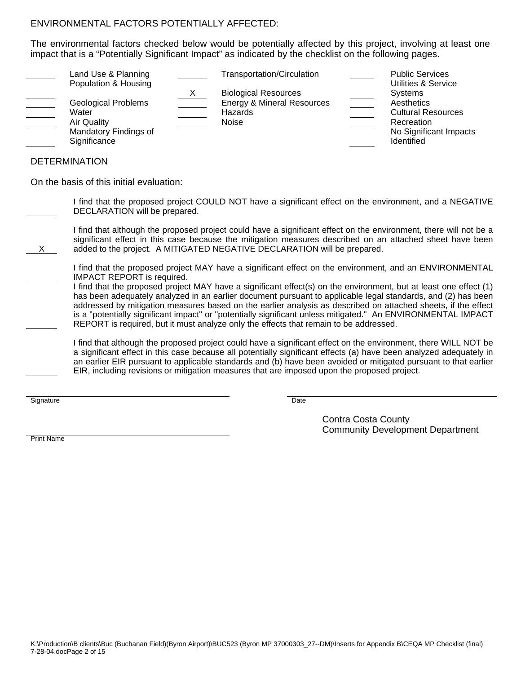# ENVIRONMENTAL FACTORS POTENTIALLY AFFECTED:

The environmental factors checked below would be potentially affected by this project, involving at least one impact that is a "Potentially Significant Impact" as indicated by the checklist on the following pages.

|                      | Land Use & Planning        | Transportation/Circulation            | <b>Public Services</b>                |
|----------------------|----------------------------|---------------------------------------|---------------------------------------|
|                      | Population & Housing       | <b>Biological Resources</b>           | Utilities & Service<br><b>Systems</b> |
|                      | <b>Geological Problems</b> | <b>Energy &amp; Mineral Resources</b> | Aesthetics                            |
| Water                |                            | Hazards                               | <b>Cultural Resources</b>             |
| <b>Air Quality</b>   |                            | Noise                                 | Recreation                            |
|                      | Mandatory Findings of      |                                       | No Significant Impacts                |
| Significance         |                            |                                       | <b>Identified</b>                     |
|                      |                            |                                       |                                       |
| <b>DETERMINATION</b> |                            |                                       |                                       |

On the basis of this initial evaluation:

 I find that the proposed project COULD NOT have a significant effect on the environment, and a NEGATIVE DECLARATION will be prepared.

 I find that although the proposed project could have a significant effect on the environment, there will not be a significant effect in this case because the mitigation measures described on an attached sheet have been added to the project. A MITIGATED NEGATIVE DECLARATION will be prepared.

 I find that the proposed project MAY have a significant effect on the environment, and an ENVIRONMENTAL IMPACT REPORT is required.

 I find that the proposed project MAY have a significant effect(s) on the environment, but at least one effect (1) has been adequately analyzed in an earlier document pursuant to applicable legal standards, and (2) has been addressed by mitigation measures based on the earlier analysis as described on attached sheets, if the effect is a "potentially significant impact" or "potentially significant unless mitigated." An ENVIRONMENTAL IMPACT REPORT is required, but it must analyze only the effects that remain to be addressed.

 I find that although the proposed project could have a significant effect on the environment, there WILL NOT be a significant effect in this case because all potentially significant effects (a) have been analyzed adequately in an earlier EIR pursuant to applicable standards and (b) have been avoided or mitigated pursuant to that earlier EIR, including revisions or mitigation measures that are imposed upon the proposed project.

Signature Date Date of the Date of the Date of the Date of the Date of the Date of the Date of the Date of the

X

 Contra Costa County Community Development Department

Print Name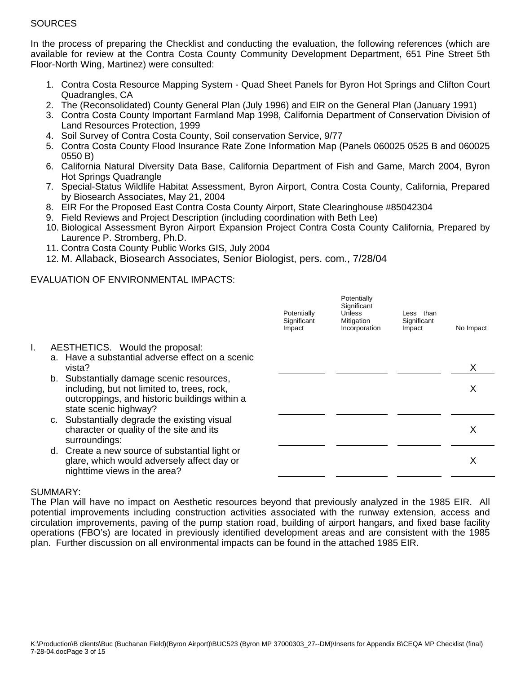# **SOURCES**

In the process of preparing the Checklist and conducting the evaluation, the following references (which are available for review at the Contra Costa County Community Development Department, 651 Pine Street 5th Floor-North Wing, Martinez) were consulted:

- 1. Contra Costa Resource Mapping System Quad Sheet Panels for Byron Hot Springs and Clifton Court Quadrangles, CA
- 2. The (Reconsolidated) County General Plan (July 1996) and EIR on the General Plan (January 1991)
- 3. Contra Costa County Important Farmland Map 1998, California Department of Conservation Division of Land Resources Protection, 1999
- 4. Soil Survey of Contra Costa County, Soil conservation Service, 9/77
- 5. Contra Costa County Flood Insurance Rate Zone Information Map (Panels 060025 0525 B and 060025 0550 B)
- 6. California Natural Diversity Data Base, California Department of Fish and Game, March 2004, Byron Hot Springs Quadrangle
- 7. Special-Status Wildlife Habitat Assessment, Byron Airport, Contra Costa County, California, Prepared by Biosearch Associates, May 21, 2004
- 8. EIR For the Proposed East Contra Costa County Airport, State Clearinghouse #85042304
- 9. Field Reviews and Project Description (including coordination with Beth Lee)
- 10. Biological Assessment Byron Airport Expansion Project Contra Costa County California, Prepared by Laurence P. Stromberg, Ph.D.
- 11. Contra Costa County Public Works GIS, July 2004
- 12. M. Allaback, Biosearch Associates, Senior Biologist, pers. com., 7/28/04

## EVALUATION OF ENVIRONMENTAL IMPACTS:

|    |                                                                                                                                                                    | Potentially<br>Significant<br>Impact | Potentially<br>Significant<br><b>Unless</b><br>Mitigation<br>Incorporation | Less than<br>Significant<br>Impact | No Impact |
|----|--------------------------------------------------------------------------------------------------------------------------------------------------------------------|--------------------------------------|----------------------------------------------------------------------------|------------------------------------|-----------|
| I. | AESTHETICS. Would the proposal:<br>a. Have a substantial adverse effect on a scenic<br>vista?                                                                      |                                      |                                                                            |                                    |           |
|    | b. Substantially damage scenic resources,<br>including, but not limited to, trees, rock,<br>outcroppings, and historic buildings within a<br>state scenic highway? |                                      |                                                                            |                                    | х         |
|    | c. Substantially degrade the existing visual<br>character or quality of the site and its<br>surroundings:                                                          |                                      |                                                                            |                                    | х         |
|    | d. Create a new source of substantial light or<br>glare, which would adversely affect day or<br>nighttime views in the area?                                       |                                      |                                                                            |                                    | х         |

#### SUMMARY:

The Plan will have no impact on Aesthetic resources beyond that previously analyzed in the 1985 EIR. All potential improvements including construction activities associated with the runway extension, access and circulation improvements, paving of the pump station road, building of airport hangars, and fixed base facility operations (FBO's) are located in previously identified development areas and are consistent with the 1985 plan. Further discussion on all environmental impacts can be found in the attached 1985 EIR.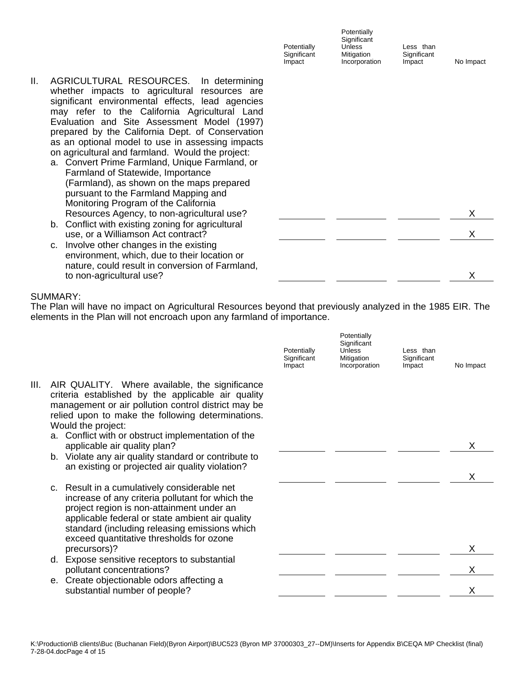|    |                                                                                                                                                                                                                                                                                                                                                                                                                                                                                                                                                                                                                                | Potentially<br>Significant<br>Impact | Potentially<br>Significant<br><b>Unless</b><br>Mitigation<br>Incorporation | Less than<br>Significant<br>Impact | No Impact |
|----|--------------------------------------------------------------------------------------------------------------------------------------------------------------------------------------------------------------------------------------------------------------------------------------------------------------------------------------------------------------------------------------------------------------------------------------------------------------------------------------------------------------------------------------------------------------------------------------------------------------------------------|--------------------------------------|----------------------------------------------------------------------------|------------------------------------|-----------|
| Ш. | AGRICULTURAL RESOURCES.<br>In determining<br>whether impacts to agricultural resources are<br>significant environmental effects, lead agencies<br>may refer to the California Agricultural Land<br>Evaluation and Site Assessment Model (1997)<br>prepared by the California Dept. of Conservation<br>as an optional model to use in assessing impacts<br>on agricultural and farmland. Would the project:<br>a. Convert Prime Farmland, Unique Farmland, or<br>Farmland of Statewide, Importance<br>(Farmland), as shown on the maps prepared<br>pursuant to the Farmland Mapping and<br>Monitoring Program of the California |                                      |                                                                            |                                    |           |
|    | Resources Agency, to non-agricultural use?                                                                                                                                                                                                                                                                                                                                                                                                                                                                                                                                                                                     |                                      |                                                                            |                                    | х         |
|    | b. Conflict with existing zoning for agricultural<br>use, or a Williamson Act contract?                                                                                                                                                                                                                                                                                                                                                                                                                                                                                                                                        |                                      |                                                                            |                                    |           |
|    | c. Involve other changes in the existing<br>environment, which, due to their location or<br>nature, could result in conversion of Farmland,                                                                                                                                                                                                                                                                                                                                                                                                                                                                                    |                                      |                                                                            |                                    |           |

The Plan will have no impact on Agricultural Resources beyond that previously analyzed in the 1985 EIR. The elements in the Plan will not encroach upon any farmland of importance.

to non-agricultural use? X

|      |                                                                                                                                                                                                                                                                                               | Potentially<br>Significant<br>Impact | Potentially<br>Significant<br><b>Unless</b><br>Mitigation<br>Incorporation | Less than<br>Significant<br>Impact | No Impact |
|------|-----------------------------------------------------------------------------------------------------------------------------------------------------------------------------------------------------------------------------------------------------------------------------------------------|--------------------------------------|----------------------------------------------------------------------------|------------------------------------|-----------|
| III. | AIR QUALITY. Where available, the significance<br>criteria established by the applicable air quality<br>management or air pollution control district may be<br>relied upon to make the following determinations.<br>Would the project:<br>a. Conflict with or obstruct implementation of the  |                                      |                                                                            |                                    |           |
|      | applicable air quality plan?<br>b. Violate any air quality standard or contribute to<br>an existing or projected air quality violation?                                                                                                                                                       |                                      |                                                                            |                                    |           |
|      | c. Result in a cumulatively considerable net<br>increase of any criteria pollutant for which the<br>project region is non-attainment under an<br>applicable federal or state ambient air quality<br>standard (including releasing emissions which<br>exceed quantitative thresholds for ozone |                                      |                                                                            |                                    |           |
|      | precursors)?                                                                                                                                                                                                                                                                                  |                                      |                                                                            |                                    | X         |
|      | d. Expose sensitive receptors to substantial<br>pollutant concentrations?                                                                                                                                                                                                                     |                                      |                                                                            |                                    |           |
|      | e. Create objectionable odors affecting a<br>substantial number of people?                                                                                                                                                                                                                    |                                      |                                                                            |                                    |           |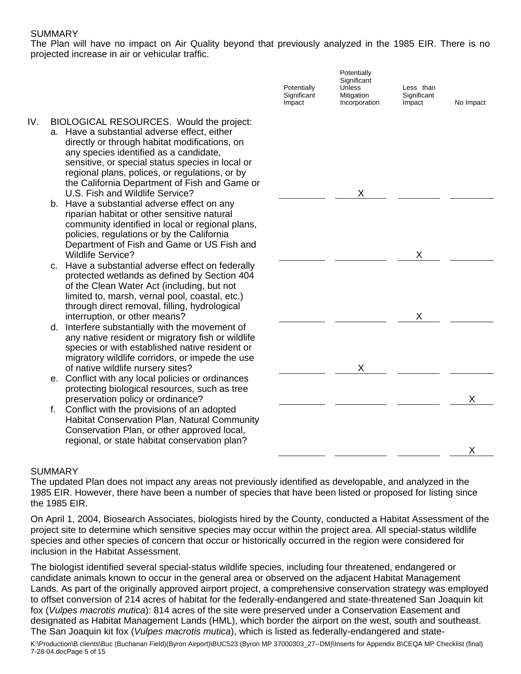The Plan will have no impact on Air Quality beyond that previously analyzed in the 1985 EIR. There is no projected increase in air or vehicular traffic.

|     |                                                                                                                                                                                                                                                                                                                                                                               | Potentially<br>Significant<br>Impact | Potentially<br>Significant<br><b>Unless</b><br>Mitigation<br>Incorporation | Less than<br>Significant<br>Impact | No Impact |
|-----|-------------------------------------------------------------------------------------------------------------------------------------------------------------------------------------------------------------------------------------------------------------------------------------------------------------------------------------------------------------------------------|--------------------------------------|----------------------------------------------------------------------------|------------------------------------|-----------|
| IV. | BIOLOGICAL RESOURCES. Would the project:<br>a. Have a substantial adverse effect, either<br>directly or through habitat modifications, on<br>any species identified as a candidate,<br>sensitive, or special status species in local or<br>regional plans, polices, or regulations, or by<br>the California Department of Fish and Game or<br>U.S. Fish and Wildlife Service? |                                      | Х                                                                          |                                    |           |
|     | b. Have a substantial adverse effect on any<br>riparian habitat or other sensitive natural<br>community identified in local or regional plans,<br>policies, regulations or by the California<br>Department of Fish and Game or US Fish and<br><b>Wildlife Service?</b>                                                                                                        |                                      |                                                                            | X.                                 |           |
|     | c. Have a substantial adverse effect on federally<br>protected wetlands as defined by Section 404<br>of the Clean Water Act (including, but not<br>limited to, marsh, vernal pool, coastal, etc.)<br>through direct removal, filling, hydrological<br>interruption, or other means?                                                                                           |                                      |                                                                            | X                                  |           |
|     | d. Interfere substantially with the movement of<br>any native resident or migratory fish or wildlife<br>species or with established native resident or<br>migratory wildlife corridors, or impede the use<br>of native wildlife nursery sites?                                                                                                                                |                                      | Χ                                                                          |                                    |           |
|     | e. Conflict with any local policies or ordinances<br>protecting biological resources, such as tree<br>preservation policy or ordinance?                                                                                                                                                                                                                                       |                                      |                                                                            |                                    | X         |
|     | Conflict with the provisions of an adopted<br>f.<br><b>Habitat Conservation Plan, Natural Community</b><br>Conservation Plan, or other approved local,<br>regional, or state habitat conservation plan?                                                                                                                                                                       |                                      |                                                                            |                                    |           |
|     |                                                                                                                                                                                                                                                                                                                                                                               |                                      |                                                                            |                                    | X         |

#### SUMMARY

The updated Plan does not impact any areas not previously identified as developable, and analyzed in the 1985 EIR. However, there have been a number of species that have been listed or proposed for listing since the 1985 EIR.

On April 1, 2004, Biosearch Associates, biologists hired by the County, conducted a Habitat Assessment of the project site to determine which sensitive species may occur within the project area. All special-status wildlife species and other species of concern that occur or historically occurred in the region were considered for inclusion in the Habitat Assessment.

The biologist identified several special-status wildlife species, including four threatened, endangered or candidate animals known to occur in the general area or observed on the adjacent Habitat Management Lands. As part of the originally approved airport project, a comprehensive conservation strategy was employed to offset conversion of 214 acres of habitat for the federally-endangered and state-threatened San Joaquin kit fox (*Vulpes macrotis mutica*): 814 acres of the site were preserved under a Conservation Easement and designated as Habitat Management Lands (HML), which border the airport on the west, south and southeast. The San Joaquin kit fox (*Vulpes macrotis mutica*), which is listed as federally-endangered and state-

K:\Production\B clients\Buc (Buchanan Field)(Byron Airport)\BUC523 (Byron MP 37000303\_27--DM)\Inserts for Appendix B\CEQA MP Checklist (final) 7-28-04.docPage 5 of 15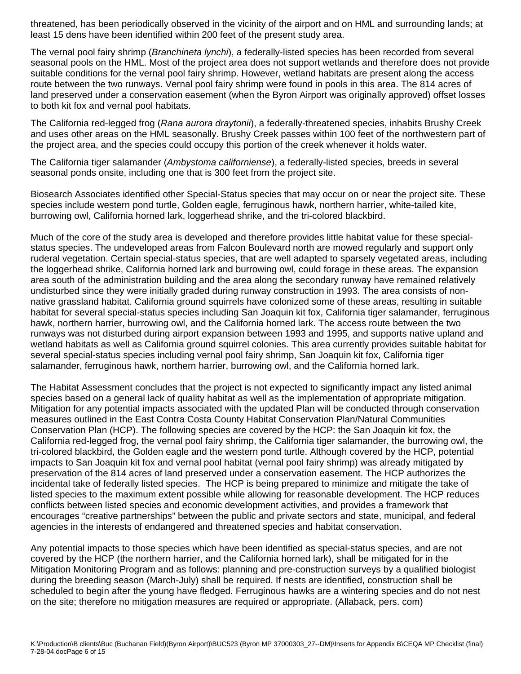threatened, has been periodically observed in the vicinity of the airport and on HML and surrounding lands; at least 15 dens have been identified within 200 feet of the present study area.

The vernal pool fairy shrimp (*Branchineta lynchi*), a federally-listed species has been recorded from several seasonal pools on the HML. Most of the project area does not support wetlands and therefore does not provide suitable conditions for the vernal pool fairy shrimp. However, wetland habitats are present along the access route between the two runways. Vernal pool fairy shrimp were found in pools in this area. The 814 acres of land preserved under a conservation easement (when the Byron Airport was originally approved) offset losses to both kit fox and vernal pool habitats.

The California red-legged frog (*Rana aurora draytonii*), a federally-threatened species, inhabits Brushy Creek and uses other areas on the HML seasonally. Brushy Creek passes within 100 feet of the northwestern part of the project area, and the species could occupy this portion of the creek whenever it holds water.

The California tiger salamander (*Ambystoma californiense*), a federally-listed species, breeds in several seasonal ponds onsite, including one that is 300 feet from the project site.

Biosearch Associates identified other Special-Status species that may occur on or near the project site. These species include western pond turtle, Golden eagle, ferruginous hawk, northern harrier, white-tailed kite, burrowing owl, California horned lark, loggerhead shrike, and the tri-colored blackbird.

Much of the core of the study area is developed and therefore provides little habitat value for these specialstatus species. The undeveloped areas from Falcon Boulevard north are mowed regularly and support only ruderal vegetation. Certain special-status species, that are well adapted to sparsely vegetated areas, including the loggerhead shrike, California horned lark and burrowing owl, could forage in these areas. The expansion area south of the administration building and the area along the secondary runway have remained relatively undisturbed since they were initially graded during runway construction in 1993. The area consists of nonnative grassland habitat. California ground squirrels have colonized some of these areas, resulting in suitable habitat for several special-status species including San Joaquin kit fox, California tiger salamander, ferruginous hawk, northern harrier, burrowing owl, and the California horned lark. The access route between the two runways was not disturbed during airport expansion between 1993 and 1995, and supports native upland and wetland habitats as well as California ground squirrel colonies. This area currently provides suitable habitat for several special-status species including vernal pool fairy shrimp, San Joaquin kit fox, California tiger salamander, ferruginous hawk, northern harrier, burrowing owl, and the California horned lark.

The Habitat Assessment concludes that the project is not expected to significantly impact any listed animal species based on a general lack of quality habitat as well as the implementation of appropriate mitigation. Mitigation for any potential impacts associated with the updated Plan will be conducted through conservation measures outlined in the East Contra Costa County Habitat Conservation Plan/Natural Communities Conservation Plan (HCP). The following species are covered by the HCP: the San Joaquin kit fox, the California red-legged frog, the vernal pool fairy shrimp, the California tiger salamander, the burrowing owl, the tri-colored blackbird, the Golden eagle and the western pond turtle. Although covered by the HCP, potential impacts to San Joaquin kit fox and vernal pool habitat (vernal pool fairy shrimp) was already mitigated by preservation of the 814 acres of land preserved under a conservation easement. The HCP authorizes the incidental take of federally listed species. The HCP is being prepared to minimize and mitigate the take of listed species to the maximum extent possible while allowing for reasonable development. The HCP reduces conflicts between listed species and economic development activities, and provides a framework that encourages "creative partnerships" between the public and private sectors and state, municipal, and federal agencies in the interests of endangered and threatened species and habitat conservation.

Any potential impacts to those species which have been identified as special-status species, and are not covered by the HCP (the northern harrier, and the California horned lark), shall be mitigated for in the Mitigation Monitoring Program and as follows: planning and pre-construction surveys by a qualified biologist during the breeding season (March-July) shall be required. If nests are identified, construction shall be scheduled to begin after the young have fledged. Ferruginous hawks are a wintering species and do not nest on the site; therefore no mitigation measures are required or appropriate. (Allaback, pers. com)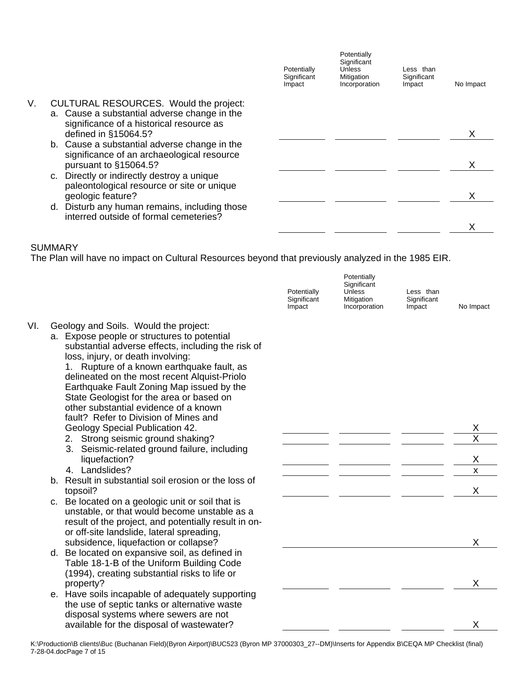|    |                                                                                         | Potentially<br>Significant<br>Impact | Potentially<br>Significant<br><b>Unless</b><br>Mitigation<br>Incorporation | Less than<br>Significant<br>Impact | No Impact |
|----|-----------------------------------------------------------------------------------------|--------------------------------------|----------------------------------------------------------------------------|------------------------------------|-----------|
| V. | CULTURAL RESOURCES. Would the project:                                                  |                                      |                                                                            |                                    |           |
|    | a. Cause a substantial adverse change in the                                            |                                      |                                                                            |                                    |           |
|    | significance of a historical resource as<br>defined in §15064.5?                        |                                      |                                                                            |                                    |           |
|    | b. Cause a substantial adverse change in the                                            |                                      |                                                                            |                                    |           |
|    | significance of an archaeological resource<br>pursuant to §15064.5?                     |                                      |                                                                            |                                    | x         |
|    | c. Directly or indirectly destroy a unique                                              |                                      |                                                                            |                                    |           |
|    | paleontological resource or site or unique                                              |                                      |                                                                            |                                    |           |
|    | geologic feature?                                                                       |                                      |                                                                            |                                    |           |
|    | d. Disturb any human remains, including those<br>interred outside of formal cemeteries? |                                      |                                                                            |                                    |           |
|    |                                                                                         |                                      |                                                                            |                                    |           |
|    |                                                                                         |                                      |                                                                            |                                    |           |

The Plan will have no impact on Cultural Resources beyond that previously analyzed in the 1985 EIR.

|     |                                                                                                                                                                                                                                                                                                                                                                                                                                                                                                                                  | Potentially<br>Significant<br>Impact | Potentially<br>Significant<br><b>Unless</b><br>Mitigation<br>Incorporation | Less than<br>Significant<br>Impact | No Impact                      |
|-----|----------------------------------------------------------------------------------------------------------------------------------------------------------------------------------------------------------------------------------------------------------------------------------------------------------------------------------------------------------------------------------------------------------------------------------------------------------------------------------------------------------------------------------|--------------------------------------|----------------------------------------------------------------------------|------------------------------------|--------------------------------|
| VI. | Geology and Soils. Would the project:<br>a. Expose people or structures to potential<br>substantial adverse effects, including the risk of<br>loss, injury, or death involving:<br>1. Rupture of a known earthquake fault, as<br>delineated on the most recent Alquist-Priolo<br>Earthquake Fault Zoning Map issued by the<br>State Geologist for the area or based on<br>other substantial evidence of a known<br>fault? Refer to Division of Mines and<br>Geology Special Publication 42.<br>2. Strong seismic ground shaking? |                                      |                                                                            |                                    | X                              |
|     | 3. Seismic-related ground failure, including<br>liquefaction?<br>4. Landslides?                                                                                                                                                                                                                                                                                                                                                                                                                                                  |                                      |                                                                            |                                    | X<br>$\boldsymbol{\mathsf{x}}$ |
|     | b. Result in substantial soil erosion or the loss of<br>topsoil?                                                                                                                                                                                                                                                                                                                                                                                                                                                                 |                                      |                                                                            |                                    | X                              |
|     | c. Be located on a geologic unit or soil that is<br>unstable, or that would become unstable as a<br>result of the project, and potentially result in on-<br>or off-site landslide, lateral spreading,<br>subsidence, liquefaction or collapse?                                                                                                                                                                                                                                                                                   |                                      |                                                                            |                                    | X                              |
|     | d. Be located on expansive soil, as defined in<br>Table 18-1-B of the Uniform Building Code<br>(1994), creating substantial risks to life or<br>property?                                                                                                                                                                                                                                                                                                                                                                        |                                      |                                                                            |                                    | X                              |
|     | e. Have soils incapable of adequately supporting<br>the use of septic tanks or alternative waste<br>disposal systems where sewers are not<br>available for the disposal of wastewater?                                                                                                                                                                                                                                                                                                                                           |                                      |                                                                            |                                    | X                              |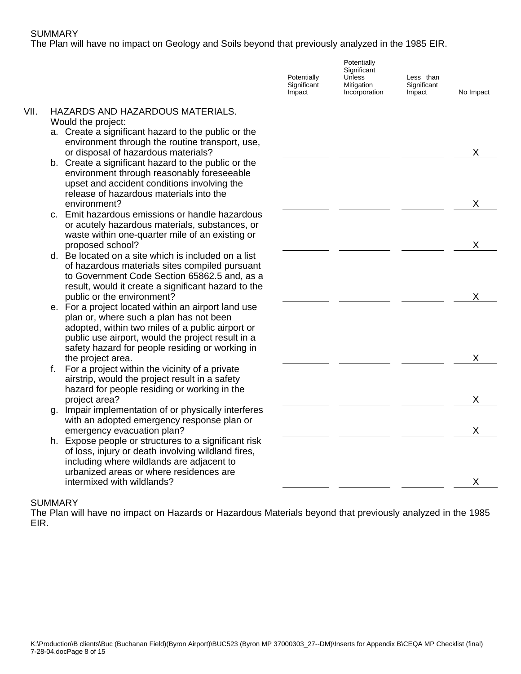The Plan will have no impact on Geology and Soils beyond that previously analyzed in the 1985 EIR.

|      |                                                                                                            | Potentially<br>Significant<br>Impact | Potentially<br>Significant<br>Unless<br>Mitigation<br>Incorporation | Less than<br>Significant<br>Impact | No Impact |
|------|------------------------------------------------------------------------------------------------------------|--------------------------------------|---------------------------------------------------------------------|------------------------------------|-----------|
| VII. | HAZARDS AND HAZARDOUS MATERIALS.                                                                           |                                      |                                                                     |                                    |           |
|      | Would the project:                                                                                         |                                      |                                                                     |                                    |           |
|      | a. Create a significant hazard to the public or the                                                        |                                      |                                                                     |                                    |           |
|      | environment through the routine transport, use,<br>or disposal of hazardous materials?                     |                                      |                                                                     |                                    | X         |
|      | b. Create a significant hazard to the public or the                                                        |                                      |                                                                     |                                    |           |
|      | environment through reasonably foreseeable                                                                 |                                      |                                                                     |                                    |           |
|      | upset and accident conditions involving the                                                                |                                      |                                                                     |                                    |           |
|      | release of hazardous materials into the                                                                    |                                      |                                                                     |                                    |           |
|      | environment?                                                                                               |                                      |                                                                     |                                    | X         |
|      | Emit hazardous emissions or handle hazardous<br>C.                                                         |                                      |                                                                     |                                    |           |
|      | or acutely hazardous materials, substances, or<br>waste within one-quarter mile of an existing or          |                                      |                                                                     |                                    |           |
|      | proposed school?                                                                                           |                                      |                                                                     |                                    | X         |
|      | d. Be located on a site which is included on a list                                                        |                                      |                                                                     |                                    |           |
|      | of hazardous materials sites compiled pursuant                                                             |                                      |                                                                     |                                    |           |
|      | to Government Code Section 65862.5 and, as a                                                               |                                      |                                                                     |                                    |           |
|      | result, would it create a significant hazard to the<br>public or the environment?                          |                                      |                                                                     |                                    | X         |
|      | e. For a project located within an airport land use                                                        |                                      |                                                                     |                                    |           |
|      | plan or, where such a plan has not been                                                                    |                                      |                                                                     |                                    |           |
|      | adopted, within two miles of a public airport or                                                           |                                      |                                                                     |                                    |           |
|      | public use airport, would the project result in a                                                          |                                      |                                                                     |                                    |           |
|      | safety hazard for people residing or working in                                                            |                                      |                                                                     |                                    |           |
|      | the project area.<br>f.                                                                                    |                                      |                                                                     |                                    | X         |
|      | For a project within the vicinity of a private<br>airstrip, would the project result in a safety           |                                      |                                                                     |                                    |           |
|      | hazard for people residing or working in the                                                               |                                      |                                                                     |                                    |           |
|      | project area?                                                                                              |                                      |                                                                     |                                    | X         |
|      | Impair implementation of or physically interferes<br>g.                                                    |                                      |                                                                     |                                    |           |
|      | with an adopted emergency response plan or                                                                 |                                      |                                                                     |                                    |           |
|      | emergency evacuation plan?                                                                                 |                                      |                                                                     |                                    | X         |
|      | h. Expose people or structures to a significant risk<br>of loss, injury or death involving wildland fires, |                                      |                                                                     |                                    |           |
|      | including where wildlands are adjacent to                                                                  |                                      |                                                                     |                                    |           |
|      | urbanized areas or where residences are                                                                    |                                      |                                                                     |                                    |           |
|      | intermixed with wildlands?                                                                                 |                                      |                                                                     |                                    | X         |
|      | <b>SUMMARY</b>                                                                                             |                                      |                                                                     |                                    |           |
|      | The Plan will have no impact on Hazards or Hazardous Materials beyond that previously analyzed in the 1985 |                                      |                                                                     |                                    |           |

EIR.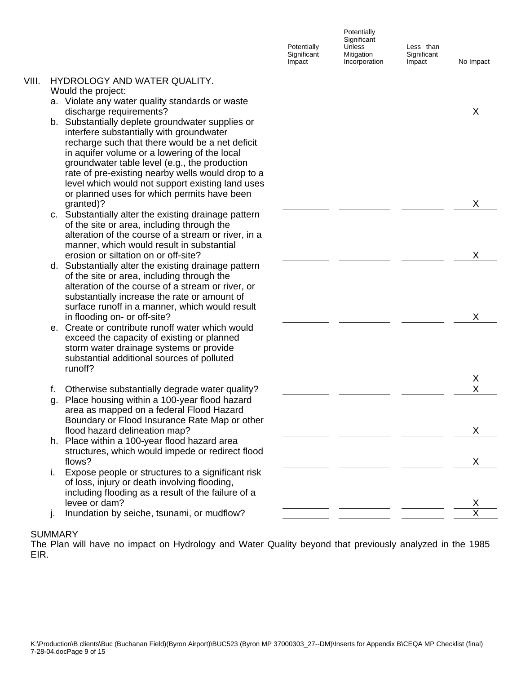**Potentially Significant** Impact

**Potentially Significant** Unless **Mitigation** Incorporation

Less than **Significant** Impact

No Impact

#### VIII. HYDROLOGY AND WATER QUALITY. Would the project:

- a. Violate any water quality standards or waste discharge requirements?
- b. Substantially deplete groundwater supplies or interfere substantially with groundwater recharge such that there would be a net deficit in aquifer volume or a lowering of the local groundwater table level (e.g., the production rate of pre-existing nearby wells would drop to a level which would not support existing land uses or planned uses for which permits have been granted)? granted)? X
- c. Substantially alter the existing drainage pattern of the site or area, including through the alteration of the course of a stream or river, in a manner, which would result in substantial erosion or siltation on or off-site? X
- d. Substantially alter the existing drainage pattern of the site or area, including through the alteration of the course of a stream or river, or substantially increase the rate or amount of surface runoff in a manner, which would result in flooding on- or off-site?
- e. Create or contribute runoff water which would exceed the capacity of existing or planned storm water drainage systems or provide substantial additional sources of polluted runoff?
- f. Otherwise substantially degrade water quality?
- g. Place housing within a 100-year flood hazard area as mapped on a federal Flood Hazard Boundary or Flood Insurance Rate Map or other flood hazard delineation map?
- h. Place within a 100-year flood hazard area structures, which would impede or redirect flood flows? X
- i. Expose people or structures to a significant risk of loss, injury or death involving flooding, including flooding as a result of the failure of a levee or dam?
- j. Inundation by seiche, tsunami, or mudflow?

# **SUMMARY**

The Plan will have no impact on Hydrology and Water Quality beyond that previously analyzed in the 1985 EIR.

|                          |                                                   | $\underline{X}$ |
|--------------------------|---------------------------------------------------|-----------------|
|                          |                                                   |                 |
|                          |                                                   |                 |
|                          |                                                   |                 |
|                          |                                                   |                 |
|                          |                                                   |                 |
|                          |                                                   |                 |
|                          |                                                   |                 |
|                          |                                                   |                 |
|                          |                                                   |                 |
|                          |                                                   |                 |
|                          |                                                   |                 |
|                          |                                                   | X               |
|                          |                                                   |                 |
|                          |                                                   |                 |
|                          |                                                   |                 |
|                          |                                                   |                 |
|                          |                                                   |                 |
|                          |                                                   |                 |
|                          |                                                   | X               |
|                          |                                                   |                 |
|                          |                                                   |                 |
|                          |                                                   |                 |
|                          |                                                   |                 |
|                          |                                                   |                 |
|                          |                                                   |                 |
|                          |                                                   |                 |
|                          |                                                   | X               |
|                          |                                                   |                 |
|                          |                                                   |                 |
|                          |                                                   |                 |
|                          |                                                   |                 |
|                          |                                                   |                 |
|                          |                                                   |                 |
|                          |                                                   |                 |
|                          |                                                   |                 |
|                          | $\frac{x}{\frac{1}{1-x}} \frac{x}{\frac{x}{1-x}}$ |                 |
|                          |                                                   |                 |
|                          |                                                   |                 |
|                          |                                                   |                 |
|                          |                                                   |                 |
|                          | $\overline{\phantom{a}}$                          | x               |
|                          |                                                   |                 |
|                          |                                                   |                 |
|                          |                                                   |                 |
|                          |                                                   | x               |
|                          |                                                   |                 |
|                          |                                                   |                 |
|                          |                                                   |                 |
|                          |                                                   |                 |
|                          |                                                   |                 |
| $\overline{\phantom{a}}$ |                                                   | $\frac{x}{x}$   |
|                          |                                                   |                 |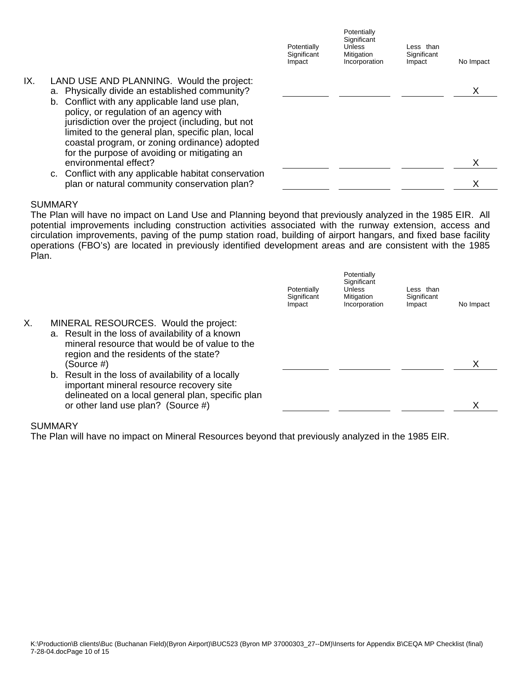|     |                                                                                                                                                                                                                                                                                                                                                     | Potentially<br>Significant<br>Impact | Potentially<br>Significant<br><b>Unless</b><br>Mitigation<br>Incorporation | Less than<br>Significant<br>Impact | No Impact |
|-----|-----------------------------------------------------------------------------------------------------------------------------------------------------------------------------------------------------------------------------------------------------------------------------------------------------------------------------------------------------|--------------------------------------|----------------------------------------------------------------------------|------------------------------------|-----------|
| IX. | LAND USE AND PLANNING. Would the project:<br>a. Physically divide an established community?<br>b. Conflict with any applicable land use plan,<br>policy, or regulation of an agency with<br>jurisdiction over the project (including, but not<br>limited to the general plan, specific plan, local<br>coastal program, or zoning ordinance) adopted |                                      |                                                                            |                                    |           |
|     | for the purpose of avoiding or mitigating an<br>environmental effect?                                                                                                                                                                                                                                                                               |                                      |                                                                            |                                    |           |
|     | c. Conflict with any applicable habitat conservation<br>plan or natural community conservation plan?                                                                                                                                                                                                                                                |                                      |                                                                            |                                    |           |

The Plan will have no impact on Land Use and Planning beyond that previously analyzed in the 1985 EIR. All potential improvements including construction activities associated with the runway extension, access and circulation improvements, paving of the pump station road, building of airport hangars, and fixed base facility operations (FBO's) are located in previously identified development areas and are consistent with the 1985 Plan.

|    |                                                                                                                                                                                       | Potentially<br>Significant<br>Impact | Potentially<br>Significant<br>Unless<br>Mitigation<br>Incorporation | Less than<br>Significant<br>Impact | No Impact |
|----|---------------------------------------------------------------------------------------------------------------------------------------------------------------------------------------|--------------------------------------|---------------------------------------------------------------------|------------------------------------|-----------|
| Χ. | MINERAL RESOURCES. Would the project:<br>a. Result in the loss of availability of a known<br>mineral resource that would be of value to the<br>region and the residents of the state? |                                      |                                                                     |                                    |           |
|    | (Source #)                                                                                                                                                                            |                                      |                                                                     |                                    |           |
|    | b. Result in the loss of availability of a locally<br>important mineral resource recovery site<br>delineated on a local general plan, specific plan                                   |                                      |                                                                     |                                    |           |
|    | or other land use plan? (Source #)                                                                                                                                                    |                                      |                                                                     |                                    |           |

## **SUMMARY**

The Plan will have no impact on Mineral Resources beyond that previously analyzed in the 1985 EIR.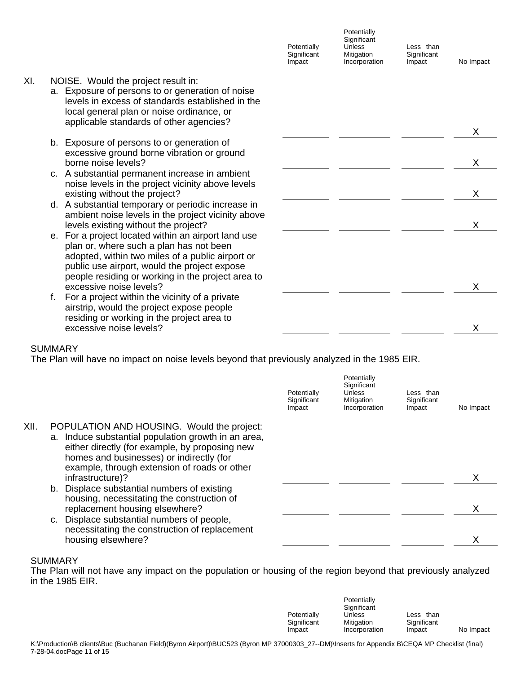|     |                                                                                                                                                                                                                                                         | Potentially<br>Significant<br>Impact | Potentially<br>Significant<br>Unless<br>Mitigation<br>Incorporation | Less than<br>Significant<br>Impact | No Impact |
|-----|---------------------------------------------------------------------------------------------------------------------------------------------------------------------------------------------------------------------------------------------------------|--------------------------------------|---------------------------------------------------------------------|------------------------------------|-----------|
| XI. | NOISE. Would the project result in:<br>a. Exposure of persons to or generation of noise<br>levels in excess of standards established in the<br>local general plan or noise ordinance, or<br>applicable standards of other agencies?                     |                                      |                                                                     |                                    |           |
|     |                                                                                                                                                                                                                                                         |                                      |                                                                     |                                    | X         |
|     | b. Exposure of persons to or generation of<br>excessive ground borne vibration or ground<br>borne noise levels?                                                                                                                                         |                                      |                                                                     |                                    | X         |
|     | c. A substantial permanent increase in ambient<br>noise levels in the project vicinity above levels<br>existing without the project?                                                                                                                    |                                      |                                                                     |                                    | X         |
|     | d. A substantial temporary or periodic increase in<br>ambient noise levels in the project vicinity above<br>levels existing without the project?                                                                                                        |                                      |                                                                     |                                    | X         |
|     | e. For a project located within an airport land use<br>plan or, where such a plan has not been<br>adopted, within two miles of a public airport or<br>public use airport, would the project expose<br>people residing or working in the project area to |                                      |                                                                     |                                    |           |
|     | excessive noise levels?<br>For a project within the vicinity of a private<br>f.<br>airstrip, would the project expose people<br>residing or working in the project area to                                                                              |                                      |                                                                     |                                    |           |
|     | excessive noise levels?                                                                                                                                                                                                                                 |                                      |                                                                     |                                    | X         |
|     |                                                                                                                                                                                                                                                         |                                      |                                                                     |                                    |           |

The Plan will have no impact on noise levels beyond that previously analyzed in the 1985 EIR.

|      |                                                                                                                                                                                                                                                 | Potentially<br>Significant<br>Impact | Potentially<br>Significant<br><b>Unless</b><br>Mitigation<br>Incorporation | Less than<br>Significant<br>Impact | No Impact |
|------|-------------------------------------------------------------------------------------------------------------------------------------------------------------------------------------------------------------------------------------------------|--------------------------------------|----------------------------------------------------------------------------|------------------------------------|-----------|
| XII. | POPULATION AND HOUSING. Would the project:<br>a. Induce substantial population growth in an area,<br>either directly (for example, by proposing new<br>homes and businesses) or indirectly (for<br>example, through extension of roads or other |                                      |                                                                            |                                    |           |
|      | infrastructure)?                                                                                                                                                                                                                                |                                      |                                                                            |                                    |           |
|      | b. Displace substantial numbers of existing<br>housing, necessitating the construction of<br>replacement housing elsewhere?                                                                                                                     |                                      |                                                                            |                                    |           |
|      | c. Displace substantial numbers of people,<br>necessitating the construction of replacement                                                                                                                                                     |                                      |                                                                            |                                    |           |
|      | housing elsewhere?                                                                                                                                                                                                                              |                                      |                                                                            |                                    |           |

## SUMMARY

The Plan will not have any impact on the population or housing of the region beyond that previously analyzed in the 1985 EIR.

|             | Potentially<br>Significant |             |           |
|-------------|----------------------------|-------------|-----------|
| Potentially | Unless                     | Less than   | No Impact |
| Significant | Mitigation                 | Significant |           |
| Impact      | Incorporation              | Impact      |           |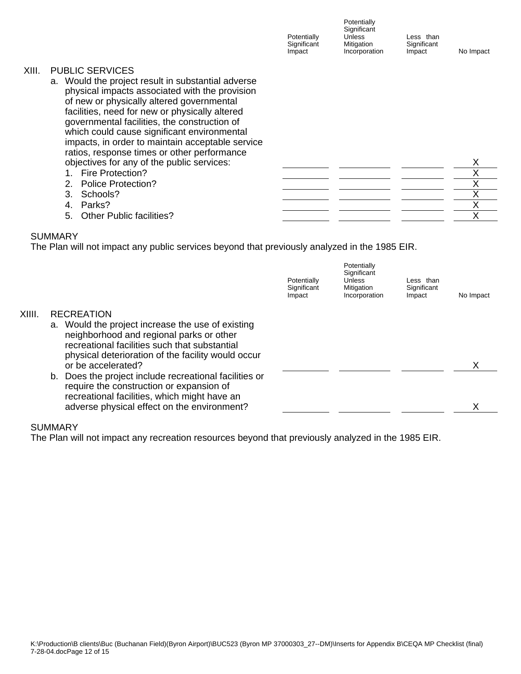|       |                                                                                                                                                                                                                                                                                                                                                                                                                                 | Potentially<br>Significant<br>Impact | Potentially<br>Significant<br><b>Unless</b><br>Mitigation<br>Incorporation | Less than<br>Significant<br>Impact | No Impact |
|-------|---------------------------------------------------------------------------------------------------------------------------------------------------------------------------------------------------------------------------------------------------------------------------------------------------------------------------------------------------------------------------------------------------------------------------------|--------------------------------------|----------------------------------------------------------------------------|------------------------------------|-----------|
| XIII. | <b>PUBLIC SERVICES</b><br>a. Would the project result in substantial adverse<br>physical impacts associated with the provision<br>of new or physically altered governmental<br>facilities, need for new or physically altered<br>governmental facilities, the construction of<br>which could cause significant environmental<br>impacts, in order to maintain acceptable service<br>ratios, response times or other performance |                                      |                                                                            |                                    |           |
|       | objectives for any of the public services:                                                                                                                                                                                                                                                                                                                                                                                      |                                      |                                                                            |                                    | X         |
|       | Fire Protection?                                                                                                                                                                                                                                                                                                                                                                                                                |                                      |                                                                            |                                    | Χ         |
|       | 2. Police Protection?                                                                                                                                                                                                                                                                                                                                                                                                           |                                      |                                                                            |                                    | ⋏         |
|       | 3.<br>Schools?                                                                                                                                                                                                                                                                                                                                                                                                                  |                                      |                                                                            |                                    |           |
|       | Parks?<br>4.                                                                                                                                                                                                                                                                                                                                                                                                                    |                                      |                                                                            |                                    | Χ         |
|       | <b>Other Public facilities?</b><br>5.                                                                                                                                                                                                                                                                                                                                                                                           |                                      |                                                                            |                                    | Χ         |

The Plan will not impact any public services beyond that previously analyzed in the 1985 EIR.

|        |                                                                                                                                                                                                                            | Potentially<br>Significant<br>Impact | Potentially<br>Significant<br>Unless<br>Mitigation<br>Incorporation | Less than<br>Significant<br>Impact | No Impact |
|--------|----------------------------------------------------------------------------------------------------------------------------------------------------------------------------------------------------------------------------|--------------------------------------|---------------------------------------------------------------------|------------------------------------|-----------|
| XIIII. | <b>RECREATION</b>                                                                                                                                                                                                          |                                      |                                                                     |                                    |           |
|        | a. Would the project increase the use of existing<br>neighborhood and regional parks or other<br>recreational facilities such that substantial<br>physical deterioration of the facility would occur<br>or be accelerated? |                                      |                                                                     |                                    |           |
|        | Does the project include recreational facilities or<br>b.                                                                                                                                                                  |                                      |                                                                     |                                    |           |
|        | require the construction or expansion of<br>recreational facilities, which might have an<br>adverse physical effect on the environment?                                                                                    |                                      |                                                                     |                                    |           |

# SUMMARY

The Plan will not impact any recreation resources beyond that previously analyzed in the 1985 EIR.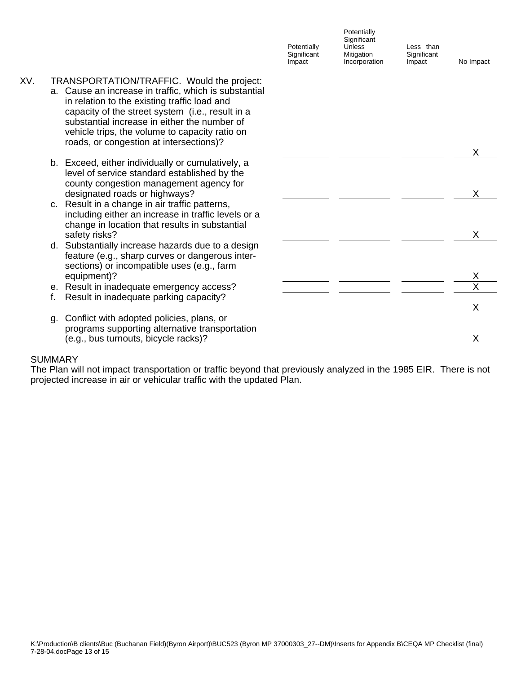|     |                                                                                                                                                                                                                                                                                                                                                      | Potentially<br>Significant<br>Impact | Potentially<br>Significant<br>Unless<br>Mitigation<br>Incorporation | Less than<br>Significant<br>Impact | No Impact |
|-----|------------------------------------------------------------------------------------------------------------------------------------------------------------------------------------------------------------------------------------------------------------------------------------------------------------------------------------------------------|--------------------------------------|---------------------------------------------------------------------|------------------------------------|-----------|
| XV. | TRANSPORTATION/TRAFFIC. Would the project:<br>a. Cause an increase in traffic, which is substantial<br>in relation to the existing traffic load and<br>capacity of the street system (i.e., result in a<br>substantial increase in either the number of<br>vehicle trips, the volume to capacity ratio on<br>roads, or congestion at intersections)? |                                      |                                                                     |                                    |           |
|     |                                                                                                                                                                                                                                                                                                                                                      |                                      |                                                                     |                                    | X         |
|     | b. Exceed, either individually or cumulatively, a<br>level of service standard established by the<br>county congestion management agency for<br>designated roads or highways?                                                                                                                                                                        |                                      |                                                                     |                                    | X         |
|     | c. Result in a change in air traffic patterns,<br>including either an increase in traffic levels or a<br>change in location that results in substantial<br>safety risks?                                                                                                                                                                             |                                      |                                                                     |                                    | X         |
|     | d. Substantially increase hazards due to a design<br>feature (e.g., sharp curves or dangerous inter-<br>sections) or incompatible uses (e.g., farm                                                                                                                                                                                                   |                                      |                                                                     |                                    |           |
|     | equipment)?                                                                                                                                                                                                                                                                                                                                          |                                      |                                                                     |                                    | Χ         |
|     | e. Result in inadequate emergency access?                                                                                                                                                                                                                                                                                                            |                                      |                                                                     |                                    | X         |
|     | Result in inadequate parking capacity?<br>f.                                                                                                                                                                                                                                                                                                         |                                      |                                                                     |                                    | Χ         |
|     | Conflict with adopted policies, plans, or<br>g.<br>programs supporting alternative transportation                                                                                                                                                                                                                                                    |                                      |                                                                     |                                    |           |
|     | (e.g., bus turnouts, bicycle racks)?                                                                                                                                                                                                                                                                                                                 |                                      |                                                                     |                                    | X         |

The Plan will not impact transportation or traffic beyond that previously analyzed in the 1985 EIR. There is not projected increase in air or vehicular traffic with the updated Plan.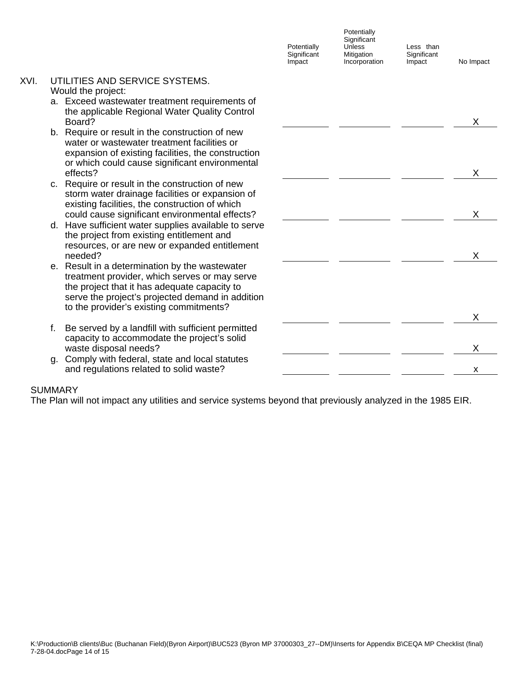|      |                                                                                                                                                                                                                                                | Potentially<br>Significant<br>Impact | Potentially<br>Significant<br>Unless<br>Mitigation<br>Incorporation | Less than<br>Significant<br>Impact | No Impact |
|------|------------------------------------------------------------------------------------------------------------------------------------------------------------------------------------------------------------------------------------------------|--------------------------------------|---------------------------------------------------------------------|------------------------------------|-----------|
| XVI. | UTILITIES AND SERVICE SYSTEMS.<br>Would the project:                                                                                                                                                                                           |                                      |                                                                     |                                    |           |
|      | a. Exceed wastewater treatment requirements of<br>the applicable Regional Water Quality Control<br>Board?                                                                                                                                      |                                      |                                                                     |                                    | Х         |
|      | b. Require or result in the construction of new<br>water or wastewater treatment facilities or<br>expansion of existing facilities, the construction<br>or which could cause significant environmental<br>effects?                             |                                      |                                                                     |                                    | Χ         |
|      | c. Require or result in the construction of new<br>storm water drainage facilities or expansion of<br>existing facilities, the construction of which<br>could cause significant environmental effects?                                         |                                      |                                                                     |                                    | Χ         |
|      | d. Have sufficient water supplies available to serve<br>the project from existing entitlement and<br>resources, or are new or expanded entitlement<br>needed?                                                                                  |                                      |                                                                     |                                    | X         |
|      | e. Result in a determination by the wastewater<br>treatment provider, which serves or may serve<br>the project that it has adequate capacity to<br>serve the project's projected demand in addition<br>to the provider's existing commitments? |                                      |                                                                     |                                    |           |
|      | Be served by a landfill with sufficient permitted<br>f.                                                                                                                                                                                        |                                      |                                                                     |                                    | Χ         |
|      | capacity to accommodate the project's solid<br>waste disposal needs?                                                                                                                                                                           |                                      |                                                                     |                                    | X         |
|      | Comply with federal, state and local statutes<br>a.<br>and regulations related to solid waste?                                                                                                                                                 |                                      |                                                                     |                                    | X         |

The Plan will not impact any utilities and service systems beyond that previously analyzed in the 1985 EIR.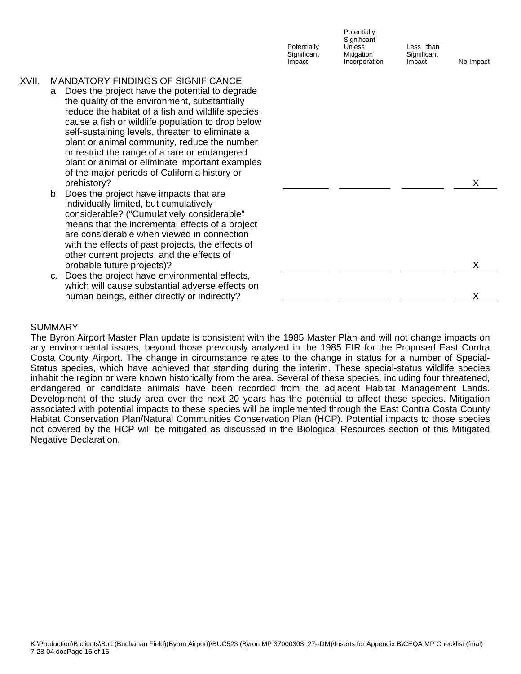|       |                                                                                                                                                                                                                                                                                                                                                                                                                                                                                                                    | Potentially<br>Significant<br>Impact | Potentially<br>Significant<br>Unless<br>Mitigation<br>Incorporation | Less than<br>Significant<br>Impact | No Impact |  |
|-------|--------------------------------------------------------------------------------------------------------------------------------------------------------------------------------------------------------------------------------------------------------------------------------------------------------------------------------------------------------------------------------------------------------------------------------------------------------------------------------------------------------------------|--------------------------------------|---------------------------------------------------------------------|------------------------------------|-----------|--|
| XVII. | <b>MANDATORY FINDINGS OF SIGNIFICANCE</b><br>a. Does the project have the potential to degrade<br>the quality of the environment, substantially<br>reduce the habitat of a fish and wildlife species,<br>cause a fish or wildlife population to drop below<br>self-sustaining levels, threaten to eliminate a<br>plant or animal community, reduce the number<br>or restrict the range of a rare or endangered<br>plant or animal or eliminate important examples<br>of the major periods of California history or |                                      |                                                                     |                                    |           |  |
|       | prehistory?                                                                                                                                                                                                                                                                                                                                                                                                                                                                                                        |                                      |                                                                     |                                    | X         |  |
|       | b. Does the project have impacts that are<br>individually limited, but cumulatively<br>considerable? ("Cumulatively considerable"<br>means that the incremental effects of a project<br>are considerable when viewed in connection<br>with the effects of past projects, the effects of<br>other current projects, and the effects of<br>probable future projects)?                                                                                                                                                |                                      |                                                                     |                                    | X         |  |
|       | Does the project have environmental effects,<br>C.<br>which will cause substantial adverse effects on                                                                                                                                                                                                                                                                                                                                                                                                              |                                      |                                                                     |                                    |           |  |

The Byron Airport Master Plan update is consistent with the 1985 Master Plan and will not change impacts on any environmental issues, beyond those previously analyzed in the 1985 EIR for the Proposed East Contra Costa County Airport. The change in circumstance relates to the change in status for a number of Special-Status species, which have achieved that standing during the interim. These special-status wildlife species inhabit the region or were known historically from the area. Several of these species, including four threatened, endangered or candidate animals have been recorded from the adjacent Habitat Management Lands. Development of the study area over the next 20 years has the potential to affect these species. Mitigation associated with potential impacts to these species will be implemented through the East Contra Costa County Habitat Conservation Plan/Natural Communities Conservation Plan (HCP). Potential impacts to those species not covered by the HCP will be mitigated as discussed in the Biological Resources section of this Mitigated Negative Declaration.

human beings, either directly or indirectly?  $X$